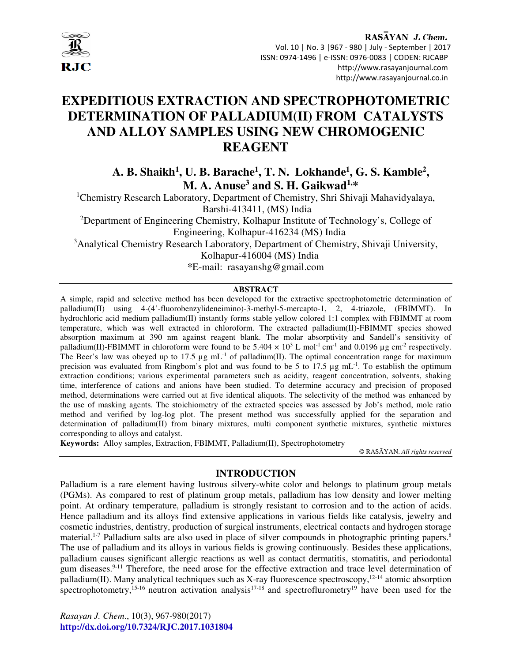

# **EXPEDITIOUS EXTRACTION AND SPECTROPHOTOMETRIC DETERMINATION OF PALLADIUM(II) FROM CATALYSTS AND ALLOY SAMPLES USING NEW CHROMOGENIC REAGENT**

**A. B. Shaikh<sup>1</sup> , U. B. Barache<sup>1</sup> , T. N. Lokhande<sup>1</sup> , G. S. Kamble<sup>2</sup> , M. A. Anuse<sup>3</sup> and S. H. Gaikwad1,\*** 

<sup>1</sup>Chemistry Research Laboratory, Department of Chemistry, Shri Shivaji Mahavidyalaya, Barshi-413411, (MS) India

<sup>2</sup>Department of Engineering Chemistry, Kolhapur Institute of Technology's, College of Engineering, Kolhapur-416234 (MS) India

<sup>3</sup>Analytical Chemistry Research Laboratory, Department of Chemistry, Shivaji University,

Kolhapur-416004 (MS) India

**\***E-mail: rasayanshg@gmail.com

## **ABSTRACT**

A simple, rapid and selective method has been developed for the extractive spectrophotometric determination of palladium(II) using 4-(4'-fluorobenzylideneimino)-3-methyl-5-mercapto-1, 2, 4-triazole, (FBIMMT). In hydrochloric acid medium palladium(II) instantly forms stable yellow colored 1:1 complex with FBIMMT at room temperature, which was well extracted in chloroform. The extracted palladium(II)-FBIMMT species showed absorption maximum at 390 nm against reagent blank. The molar absorptivity and Sandell's sensitivity of palladium(II)-FBIMMT in chloroform were found to be  $5.404 \times 10^3$  L mol<sup>-1</sup> cm<sup>-1</sup> and 0.0196 µg cm<sup>-2</sup> respectively. The Beer's law was obeyed up to 17.5  $\mu$ g mL<sup>-1</sup> of palladium(II). The optimal concentration range for maximum precision was evaluated from Ringbom's plot and was found to be 5 to 17.5  $\mu$ g mL<sup>-1</sup>. To establish the optimum extraction conditions; various experimental parameters such as acidity, reagent concentration, solvents, shaking time, interference of cations and anions have been studied. To determine accuracy and precision of proposed method, determinations were carried out at five identical aliquots. The selectivity of the method was enhanced by the use of masking agents. The stoichiometry of the extracted species was assessed by Job's method, mole ratio method and verified by log-log plot. The present method was successfully applied for the separation and determination of palladium(II) from binary mixtures, multi component synthetic mixtures, synthetic mixtures corresponding to alloys and catalyst.

**Keywords:** Alloy samples, Extraction, FBIMMT, Palladium(II), Spectrophotometry

© RASĀYAN. *All rights reserved*

# **INTRODUCTION**

Palladium is a rare element having lustrous silvery-white color and belongs to platinum group metals (PGMs). As compared to rest of platinum group metals, palladium has low density and lower melting point. At ordinary temperature, palladium is strongly resistant to corrosion and to the action of acids. Hence palladium and its alloys find extensive applications in various fields like catalysis, jewelry and cosmetic industries, dentistry, production of surgical instruments, electrical contacts and hydrogen storage material.<sup>1-7</sup> Palladium salts are also used in place of silver compounds in photographic printing papers.<sup>8</sup> The use of palladium and its alloys in various fields is growing continuously. Besides these applications, palladium causes significant allergic reactions as well as contact dermatitis, stomatitis, and periodontal gum diseases.<sup>9-11</sup> Therefore, the need arose for the effective extraction and trace level determination of palladium(II). Many analytical techniques such as X-ray fluorescence spectroscopy,  $12-14$  atomic absorption spectrophotometry,<sup>15-16</sup> neutron activation analysis<sup>17-18</sup> and spectroflurometry<sup>19</sup> have been used for the

*Rasayan J. Chem*., 10(3), 967-980(2017) **http://dx.doi.org/10.7324/RJC.2017.1031804**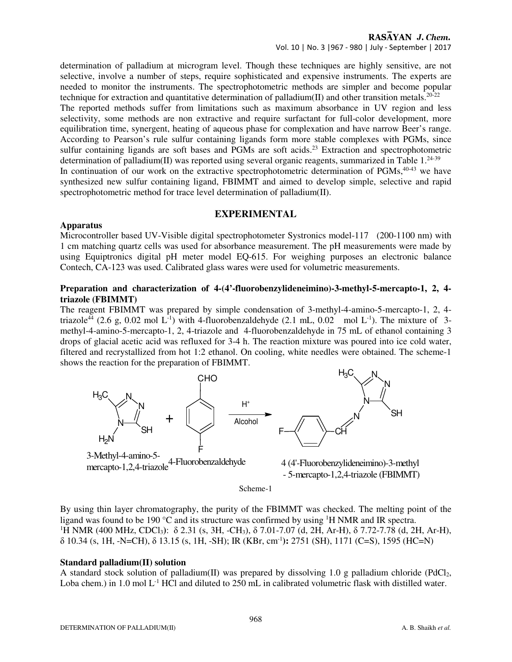determination of palladium at microgram level. Though these techniques are highly sensitive, are not selective, involve a number of steps, require sophisticated and expensive instruments. The experts are needed to monitor the instruments. The spectrophotometric methods are simpler and become popular technique for extraction and quantitative determination of palladium(II) and other transition metals.<sup>20-22</sup>

The reported methods suffer from limitations such as maximum absorbance in UV region and less selectivity, some methods are non extractive and require surfactant for full-color development, more equilibration time, synergent, heating of aqueous phase for complexation and have narrow Beer's range. According to Pearson's rule sulfur containing ligands form more stable complexes with PGMs, since sulfur containing ligands are soft bases and PGMs are soft acids.<sup>23</sup> Extraction and spectrophotometric determination of palladium(II) was reported using several organic reagents, summarized in Table  $1.^{24\cdot39}$ 

In continuation of our work on the extractive spectrophotometric determination of  $PGMs$ ,  $40-43$  we have synthesized new sulfur containing ligand, FBIMMT and aimed to develop simple, selective and rapid spectrophotometric method for trace level determination of palladium(II).

# **EXPERIMENTAL**

# **Apparatus**

Microcontroller based UV-Visible digital spectrophotometer Systronics model-117 (200-1100 nm) with 1 cm matching quartz cells was used for absorbance measurement. The pH measurements were made by using Equiptronics digital pH meter model EQ-615. For weighing purposes an electronic balance Contech, CA-123 was used. Calibrated glass wares were used for volumetric measurements.

# **Preparation and characterization of 4-(4'-fluorobenzylideneimino)-3-methyl-5-mercapto-1, 2, 4 triazole (FBIMMT)**

The reagent FBIMMT was prepared by simple condensation of 3-methyl-4-amino-5-mercapto-1, 2, 4 triazole<sup>44</sup> (2.6 g, 0.02 mol L<sup>-1</sup>) with 4-fluorobenzaldehyde (2.1 mL, 0.02 mol L<sup>-1</sup>). The mixture of 3methyl-4-amino-5-mercapto-1, 2, 4-triazole and 4-fluorobenzaldehyde in 75 mL of ethanol containing 3 drops of glacial acetic acid was refluxed for 3-4 h. The reaction mixture was poured into ice cold water, filtered and recrystallized from hot 1:2 ethanol. On cooling, white needles were obtained. The scheme-1 shows the reaction for the preparation of FBIMMT.



By using thin layer chromatography, the purity of the FBIMMT was checked. The melting point of the ligand was found to be 190 °C and its structure was confirmed by using <sup>1</sup>H NMR and IR spectra. <sup>1</sup>H NMR (400 MHz, CDCl<sub>3</sub>): δ 2.31 (s, 3H, -CH<sub>3</sub>), δ 7.01-7.07 (d, 2H, Ar-H), δ 7.72-7.78 (d, 2H, Ar-H), δ 10.34 (s, 1H, -N=CH), δ 13.15 (s, 1H, -SH); IR (KBr, cm-1**):** 2751 (SH), 1171 (C=S), 1595 (HC=N)

#### **Standard palladium(II) solution**

A standard stock solution of palladium(II) was prepared by dissolving 1.0 g palladium chloride (PdCl<sub>2</sub>, Loba chem.) in 1.0 mol  $L^{-1}$  HCl and diluted to 250 mL in calibrated volumetric flask with distilled water.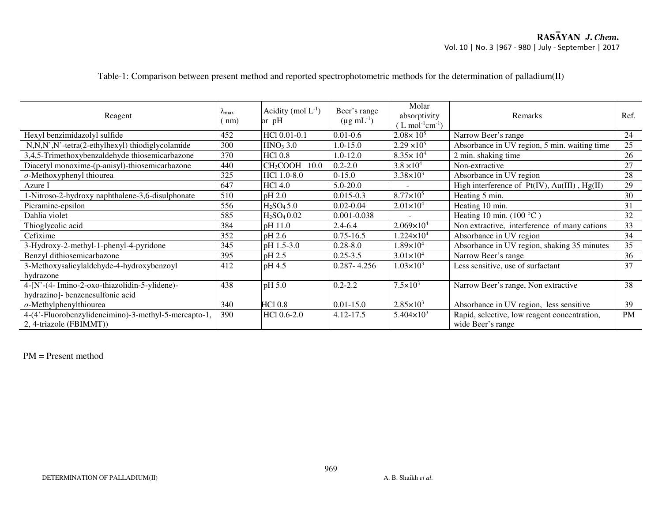| Reagent                                                                         | $\lambda_{\text{max}}$<br>(mm) | Acidity (mol $L^{-1}$ )<br>or pH    | Beer's range<br>$(\mu g \, mL^{-1})$ | Molar<br>absorptivity<br>$(L \text{ mol}^{-1} \text{cm}^{-1})$ | Remarks                                                           | Ref.      |
|---------------------------------------------------------------------------------|--------------------------------|-------------------------------------|--------------------------------------|----------------------------------------------------------------|-------------------------------------------------------------------|-----------|
| Hexyl benzimidazolyl sulfide                                                    | 452                            | HCl 0.01-0.1                        | $0.01 - 0.6$                         | $2.08 \times 10^5$                                             | Narrow Beer's range                                               | 24        |
| N,N,N',N'-tetra(2-ethylhexyl) thiodiglycolamide                                 | 300                            | HNO <sub>3</sub> 3.0                | 1.0-15.0                             | $2.29 \times 10^5$                                             | Absorbance in UV region, 5 min. waiting time                      | 25        |
| 3,4,5-Trimethoxybenzaldehyde thiosemicarbazone                                  | 370                            | <b>HCl 0.8</b>                      | 1.0-12.0                             | $8.35 \times 10^{4}$                                           | 2 min. shaking time                                               | 26        |
| Diacetyl monoxime-(p-anisyl)-thiosemicarbazone                                  | 440                            | $ CH_3COOH$ 10.0                    | $0.2 - 2.0$                          | $3.8 \times 10^{4}$                                            | Non-extractive                                                    | 27        |
| $o$ -Methoxyphenyl thiourea                                                     | 325                            | HCl 1.0-8.0                         | $0-15.0$                             | $3.38 \times 10^3$                                             | Absorbance in UV region                                           | 28        |
| Azure I                                                                         | 647                            | <b>HCl 4.0</b>                      | $5.0 - 20.0$                         |                                                                | High interference of Pt(IV), Au(III), Hg(II)                      | 29        |
| 1-Nitroso-2-hydroxy naphthalene-3,6-disulphonate                                | 510                            | pH 2.0                              | $0.015 - 0.3$                        | $8.77 \times 10^5$                                             | Heating 5 min.                                                    | 30        |
| Picramine-epsilon                                                               | 556                            | H <sub>2</sub> SO <sub>4</sub> 5.0  | $0.02 - 0.04$                        | $2.01 \times 10^4$                                             | Heating 10 min.                                                   | 31        |
| Dahlia violet                                                                   | 585                            | H <sub>2</sub> SO <sub>4</sub> 0.02 | 0.001-0.038                          |                                                                | Heating 10 min. $(100 °C)$                                        | 32        |
| Thioglycolic acid                                                               | 384                            | pH 11.0                             | $2.4 - 6.4$                          | $2.069\times10^{4}$                                            | Non extractive, interference of many cations                      | 33        |
| Cefixime                                                                        | 352                            | pH 2.6                              | $0.75 - 16.5$                        | $1.224\times10^{4}$                                            | Absorbance in UV region                                           | 34        |
| 3-Hydroxy-2-methyl-1-phenyl-4-pyridone                                          | 345                            | pH 1.5-3.0                          | $0.28 - 8.0$                         | $1.89\times10^{4}$                                             | Absorbance in UV region, shaking 35 minutes                       | 35        |
| Benzyl dithiosemicarbazone                                                      | 395                            | pH 2.5                              | $0.25 - 3.5$                         | $3.01 \times 10^{4}$                                           | Narrow Beer's range                                               | 36        |
| 3-Methoxysalicylaldehyde-4-hydroxybenzoyl                                       | 412                            | pH 4.5                              | $0.287 - 4.256$                      | $1.03\times10^{3}$                                             | Less sensitive, use of surfactant                                 | 37        |
| hydrazone                                                                       |                                |                                     |                                      |                                                                |                                                                   |           |
| 4-[N'-(4- Imino-2-oxo-thiazolidin-5-ylidene)-                                   | 438                            | pH 5.0                              | $0.2 - 2.2$                          | $7.5 \times 10^{3}$                                            | Narrow Beer's range, Non extractive                               | 38        |
| hydrazino]- benzenesulfonic acid                                                |                                |                                     |                                      |                                                                |                                                                   |           |
| $o$ -Methylphenylthiourea                                                       | 340                            | HCl 0.8                             | $0.01 - 15.0$                        | $2.85 \times 10^3$                                             | Absorbance in UV region, less sensitive                           | 39        |
| 4-(4'-Fluorobenzylideneimino)-3-methyl-5-mercapto-1,<br>2, 4-triazole (FBIMMT)) | 390                            | $HC1 0.6 - 2.0$                     | 4.12-17.5                            | $5.404 \times 10^3$                                            | Rapid, selective, low reagent concentration,<br>wide Beer's range | <b>PM</b> |

# Table-1: Comparison between present method and reported spectrophotometric methods for the determination of palladium(II)

PM = Present method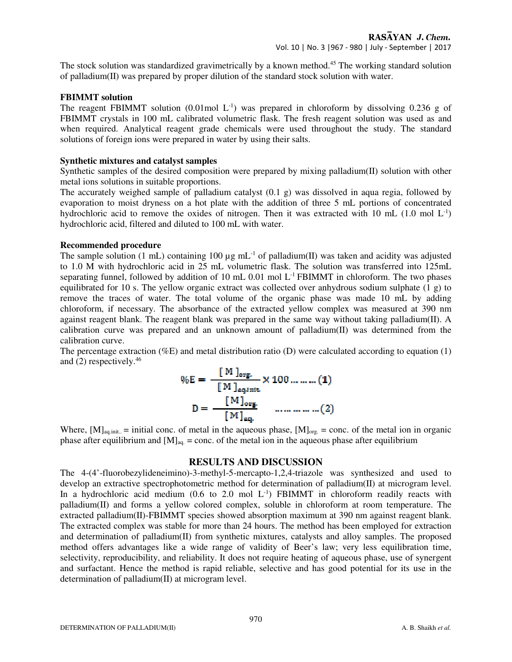The stock solution was standardized gravimetrically by a known method.<sup>45</sup> The working standard solution of palladium(II) was prepared by proper dilution of the standard stock solution with water.

# **FBIMMT solution**

The reagent FBIMMT solution (0.01mol  $L^{-1}$ ) was prepared in chloroform by dissolving 0.236 g of FBIMMT crystals in 100 mL calibrated volumetric flask. The fresh reagent solution was used as and when required. Analytical reagent grade chemicals were used throughout the study. The standard solutions of foreign ions were prepared in water by using their salts.

# **Synthetic mixtures and catalyst samples**

Synthetic samples of the desired composition were prepared by mixing palladium(II) solution with other metal ions solutions in suitable proportions.

The accurately weighed sample of palladium catalyst (0.1 g) was dissolved in aqua regia, followed by evaporation to moist dryness on a hot plate with the addition of three 5 mL portions of concentrated hydrochloric acid to remove the oxides of nitrogen. Then it was extracted with 10 mL  $(1.0 \text{ mol } L^{-1})$ hydrochloric acid, filtered and diluted to 100 mL with water.

# **Recommended procedure**

The sample solution (1 mL) containing 100  $\mu$ g mL<sup>-1</sup> of palladium(II) was taken and acidity was adjusted to 1.0 M with hydrochloric acid in 25 mL volumetric flask. The solution was transferred into 125mL separating funnel, followed by addition of 10 mL 0.01 mol L<sup>-1</sup> FBIMMT in chloroform. The two phases equilibrated for 10 s. The yellow organic extract was collected over anhydrous sodium sulphate  $(1 \text{ g})$  to remove the traces of water. The total volume of the organic phase was made 10 mL by adding chloroform, if necessary. The absorbance of the extracted yellow complex was measured at 390 nm against reagent blank. The reagent blank was prepared in the same way without taking palladium(II). A calibration curve was prepared and an unknown amount of palladium(II) was determined from the calibration curve.

The percentage extraction (%E) and metal distribution ratio (D) were calculated according to equation (1) and  $(2)$  respectively.<sup>46</sup>

$$
\%E = \frac{[M]_{\text{org}}}{[M]_{\text{aqinit}}} \times 100 \dots \dots \dots (1)
$$

$$
D = \frac{[M]_{\text{org}}}{[M]_{\text{ag}}} \qquad \dots \dots \dots \dots (2)
$$

Where,  $[M]_{aq.init.}$  = initial conc. of metal in the aqueous phase,  $[M]_{org.}$  = conc. of the metal ion in organic phase after equilibrium and  $[M]_{aq.}$  = conc. of the metal ion in the aqueous phase after equilibrium

# **RESULTS AND DISCUSSION**

The 4-(4'-fluorobezylideneimino)-3-methyl-5-mercapto-1,2,4-triazole was synthesized and used to develop an extractive spectrophotometric method for determination of palladium(II) at microgram level. In a hydrochloric acid medium  $(0.6 \text{ to } 2.0 \text{ mol L}^{-1})$  FBIMMT in chloroform readily reacts with palladium(II) and forms a yellow colored complex, soluble in chloroform at room temperature. The extracted palladium(II)-FBIMMT species showed absorption maximum at 390 nm against reagent blank. The extracted complex was stable for more than 24 hours. The method has been employed for extraction and determination of palladium(II) from synthetic mixtures, catalysts and alloy samples. The proposed method offers advantages like a wide range of validity of Beer's law; very less equilibration time, selectivity, reproducibility, and reliability. It does not require heating of aqueous phase, use of synergent and surfactant. Hence the method is rapid reliable, selective and has good potential for its use in the determination of palladium(II) at microgram level.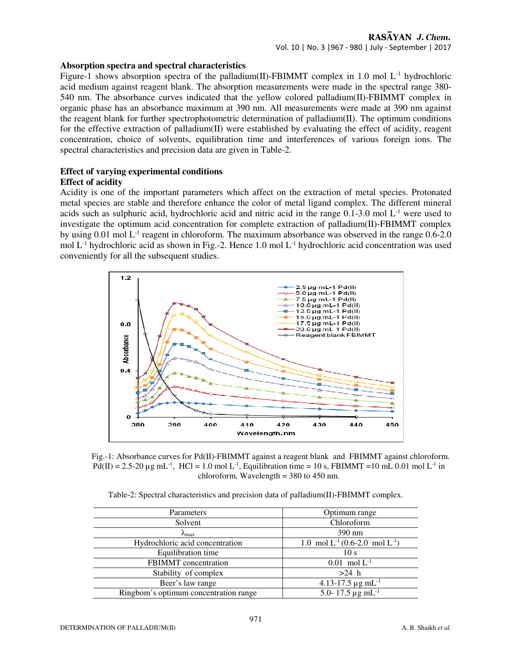## **Absorption spectra and spectral characteristics**

Figure-1 shows absorption spectra of the palladium(II)-FBIMMT complex in 1.0 mol L<sup>-1</sup> hydrochloric acid medium against reagent blank. The absorption measurements were made in the spectral range 380- 540 nm. The absorbance curves indicated that the yellow colored palladium(II)-FBIMMT complex in organic phase has an absorbance maximum at 390 nm. All measurements were made at 390 nm against the reagent blank for further spectrophotometric determination of palladium(II). The optimum conditions for the effective extraction of palladium(II) were established by evaluating the effect of acidity, reagent concentration, choice of solvents, equilibration time and interferences of various foreign ions. The spectral characteristics and precision data are given in Table-2.

# **Effect of varying experimental conditions Effect of acidity**

Acidity is one of the important parameters which affect on the extraction of metal species. Protonated metal species are stable and therefore enhance the color of metal ligand complex. The different mineral acids such as sulphuric acid, hydrochloric acid and nitric acid in the range  $0.1-3.0$  mol  $L^{-1}$  were used to investigate the optimum acid concentration for complete extraction of palladium(II)-FBIMMT complex by using 0.01 mol L<sup>-1</sup> reagent in chloroform. The maximum absorbance was observed in the range 0.6-2.0 mol  $L^{-1}$  hydrochloric acid as shown in Fig.-2. Hence 1.0 mol  $L^{-1}$  hydrochloric acid concentration was used conveniently for all the subsequent studies.



Fig.-1: Absorbance curves for Pd(II)-FBIMMT against a reagent blank and FBIMMT against chloroform. Pd(II) = 2.5-20  $\mu$ g mL<sup>-1</sup>, HCl = 1.0 mol L<sup>-1</sup>, Equilibration time = 10 s, FBIMMT = 10 mL 0.01 mol L<sup>-1</sup> in chloroform, Wavelength  $=$  380 to 450 nm.

| Table-2: Spectral characteristics and precision data of palladium $(II)$ -FBIMMT complex. |  |  |
|-------------------------------------------------------------------------------------------|--|--|
|                                                                                           |  |  |

| Parameters                            | Optimum range                                         |
|---------------------------------------|-------------------------------------------------------|
| Solvent                               | Chloroform                                            |
| $\lambda_{\text{max}}$                | 390 nm                                                |
| Hydrochloric acid concentration       | 1.0 mol $L^{-1}(0.6{\text -}2.0 \text{ mol } L^{-1})$ |
| Equilibration time                    | 10 <sub>s</sub>                                       |
| <b>FBIMMT</b> concentration           | $0.01$ mol $L^{-1}$                                   |
| Stability of complex                  | $>24$ h                                               |
| Beer's law range                      | 4.13-17.5 $\mu$ g mL <sup>-1</sup>                    |
| Ringbom's optimum concentration range | 5.0-17.5 $\mu$ g mL <sup>-1</sup>                     |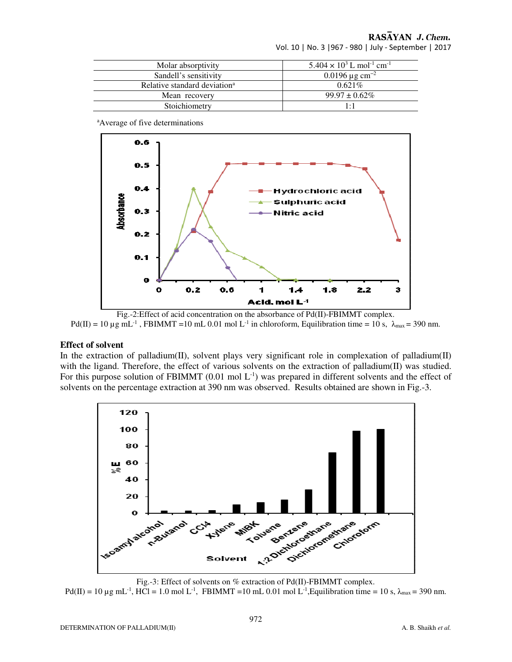RASAYAN J. Chem.

Vol. 10 | No. 3 |967 - 980 | July - September | 2017

| Molar absorptivity                       | $5.404 \times 10^3$ L mol <sup>-1</sup> cm <sup>-1</sup> |
|------------------------------------------|----------------------------------------------------------|
| Sandell's sensitivity                    | $0.0196 \,\mathrm{\mu g\,cm^{-2}}$                       |
| Relative standard deviation <sup>a</sup> | $0.621\%$                                                |
| Mean recovery                            | $99.97 \pm 0.62\%$                                       |
| Stoichiometry                            | $1 \cdot 1$                                              |

<sup>a</sup>Average of five determinations



Fig.-2:Effect of acid concentration on the absorbance of Pd(II)-FBIMMT complex.  $Pd(II) = 10 \mu g mL^{-1}$ , FBIMMT = 10 mL 0.01 mol L<sup>-1</sup> in chloroform, Equilibration time = 10 s,  $\lambda_{\text{max}} = 390 \text{ nm}$ .

#### **Effect of solvent**

In the extraction of palladium(II), solvent plays very significant role in complexation of palladium(II) with the ligand. Therefore, the effect of various solvents on the extraction of palladium $(II)$  was studied. For this purpose solution of FBIMMT  $(0.01 \text{ mol L}^{-1})$  was prepared in different solvents and the effect of solvents on the percentage extraction at 390 nm was observed. Results obtained are shown in Fig.-3.



Fig.-3: Effect of solvents on % extraction of Pd(II)-FBIMMT complex.

Pd(II) = 10 µg mL<sup>-1</sup>, HCl = 1.0 mol L<sup>-1</sup>, FBIMMT = 10 mL 0.01 mol L<sup>-1</sup>, Equilibration time = 10 s,  $\lambda_{\text{max}}$  = 390 nm.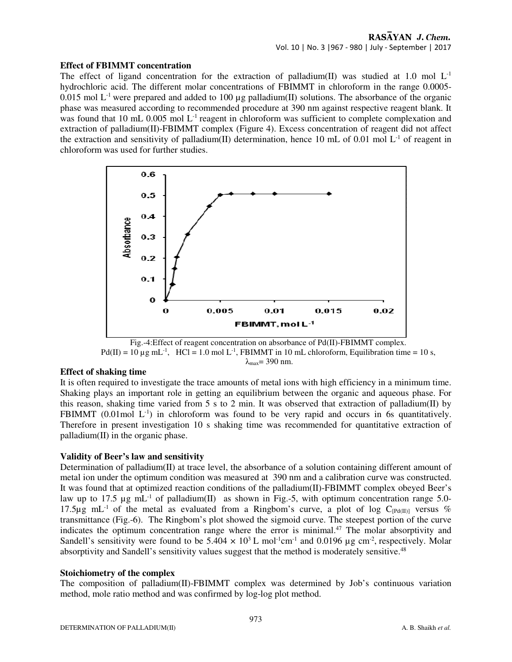# **Effect of FBIMMT concentration**

The effect of ligand concentration for the extraction of palladium(II) was studied at 1.0 mol  $L<sup>-1</sup>$ hydrochloric acid. The different molar concentrations of FBIMMT in chloroform in the range 0.0005- 0.015 mol  $L^{-1}$  were prepared and added to 100 µg palladium(II) solutions. The absorbance of the organic phase was measured according to recommended procedure at 390 nm against respective reagent blank. It was found that 10 mL 0.005 mol L<sup>-1</sup> reagent in chloroform was sufficient to complete complexation and extraction of palladium(II)-FBIMMT complex (Figure 4). Excess concentration of reagent did not affect the extraction and sensitivity of palladium(II) determination, hence 10 mL of 0.01 mol  $L^{-1}$  of reagent in chloroform was used for further studies.



Fig.-4:Effect of reagent concentration on absorbance of Pd(II)-FBIMMT complex.  $Pd(II) = 10 \mu g mL^{-1}$ , HCl = 1.0 mol L<sup>-1</sup>, FBIMMT in 10 mL chloroform, Equilibration time = 10 s,  $λ_{max} = 390$  nm.

# **Effect of shaking time**

It is often required to investigate the trace amounts of metal ions with high efficiency in a minimum time. Shaking plays an important role in getting an equilibrium between the organic and aqueous phase. For this reason, shaking time varied from 5 s to 2 min. It was observed that extraction of palladium(II) by FBIMMT  $(0.01 \text{ mol } L^{-1})$  in chloroform was found to be very rapid and occurs in 6s quantitatively. Therefore in present investigation 10 s shaking time was recommended for quantitative extraction of  $palladium(II)$  in the organic phase.

# **Validity of Beer's law and sensitivity**

Determination of palladium(II) at trace level, the absorbance of a solution containing different amount of metal ion under the optimum condition was measured at 390 nm and a calibration curve was constructed. It was found that at optimized reaction conditions of the palladium(II)-FBIMMT complex obeyed Beer's law up to 17.5  $\mu$ g mL<sup>-1</sup> of palladium(II) as shown in Fig.-5, with optimum concentration range 5.0-17.5 $\mu$ g mL<sup>-1</sup> of the metal as evaluated from a Ringbom's curve, a plot of log C<sub>[Pd(II)]</sub> versus % transmittance (Fig.-6). The Ringbom's plot showed the sigmoid curve. The steepest portion of the curve indicates the optimum concentration range where the error is minimal.<sup>47</sup> The molar absorptivity and Sandell's sensitivity were found to be  $5.404 \times 10^3$  L mol<sup>-1</sup>cm<sup>-1</sup> and 0.0196 µg cm<sup>-2</sup>, respectively. Molar absorptivity and Sandell's sensitivity values suggest that the method is moderately sensitive.<sup>48</sup>

# **Stoichiometry of the complex**

The composition of palladium(II)-FBIMMT complex was determined by Job's continuous variation method, mole ratio method and was confirmed by log-log plot method.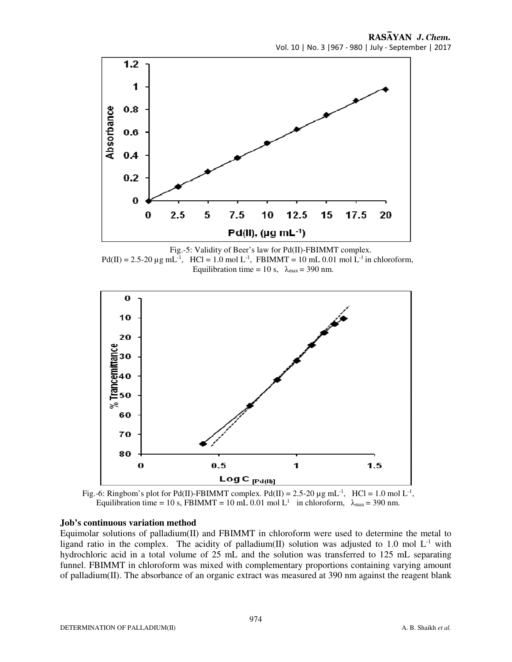RASAYAN J. Chem. Vol. 10 | No. 3 |967 - 980 | July - September | 2017



Fig.-5: Validity of Beer's law for Pd(II)-FBIMMT complex.  $Pd(II) = 2.5-20 \mu g m L^{-1}$ , HCl = 1.0 mol L<sup>-1</sup>, FBIMMT = 10 mL 0.01 mol L<sup>-1</sup> in chloroform, Equilibration time = 10 s,  $\lambda_{\text{max}}$  = 390 nm.



Fig.-6: Ringbom's plot for Pd(II)-FBIMMT complex. Pd(II) = 2.5-20  $\mu$ g mL<sup>-1</sup>, HCl = 1.0 mol L<sup>-1</sup>, Equilibration time = 10 s, FBIMMT = 10 mL 0.01 mol L<sup>1</sup> in chloroform,  $\lambda_{\text{max}} = 390$  nm.

#### **Job's continuous variation method**

Equimolar solutions of palladium(II) and FBIMMT in chloroform were used to determine the metal to ligand ratio in the complex. The acidity of palladium(II) solution was adjusted to 1.0 mol  $L^{-1}$  with hydrochloric acid in a total volume of 25 mL and the solution was transferred to 125 mL separating funnel. FBIMMT in chloroform was mixed with complementary proportions containing varying amount of palladium(II). The absorbance of an organic extract was measured at 390 nm against the reagent blank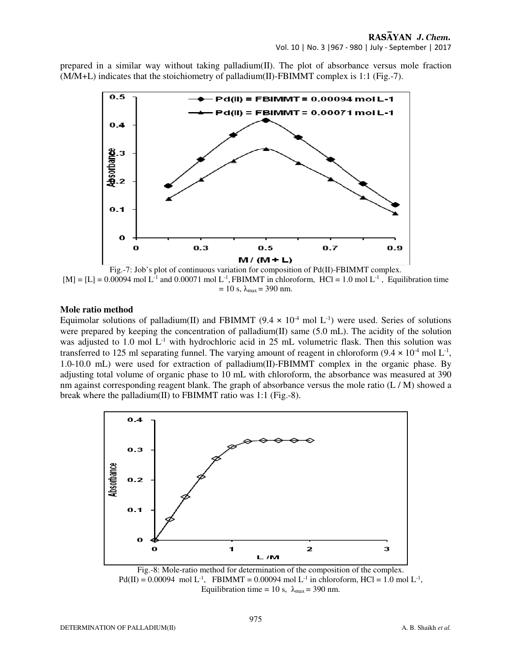prepared in a similar way without taking palladium(II). The plot of absorbance versus mole fraction (M/M+L) indicates that the stoichiometry of palladium(II)-FBIMMT complex is 1:1 (Fig.-7).



Fig.-7: Job's plot of continuous variation for composition of Pd(II)-FBIMMT complex.  $[M] = [L] = 0.00094$  mol L<sup>-1</sup> and 0.00071 mol L<sup>-1</sup>, FBIMMT in chloroform, HCl = 1.0 mol L<sup>-1</sup>, Equilibration time  $= 10$  s,  $\lambda_{\text{max}} = 390$  nm.

# **Mole ratio method**

Equimolar solutions of palladium(II) and FBIMMT (9.4  $\times$  10<sup>-4</sup> mol L<sup>-1</sup>) were used. Series of solutions were prepared by keeping the concentration of palladium(II) same (5.0 mL). The acidity of the solution was adjusted to 1.0 mol L<sup>-1</sup> with hydrochloric acid in 25 mL volumetric flask. Then this solution was transferred to 125 ml separating funnel. The varying amount of reagent in chloroform  $(9.4 \times 10^{4} \text{ mol L}^{-1})$ , 1.0-10.0 mL) were used for extraction of palladium(II)-FBIMMT complex in the organic phase. By adjusting total volume of organic phase to 10 mL with chloroform, the absorbance was measured at 390 nm against corresponding reagent blank. The graph of absorbance versus the mole ratio  $(L/M)$  showed a break where the palladium(II) to FBIMMT ratio was 1:1 (Fig.-8).



Fig.-8: Mole-ratio method for determination of the composition of the complex.  $Pd(II) = 0.00094 \text{ mol L}^{-1}$ , FBIMMT = 0.00094 mol L<sup>-1</sup> in chloroform, HCl = 1.0 mol L<sup>-1</sup>, Equilibration time = 10 s,  $\lambda_{\text{max}}$  = 390 nm.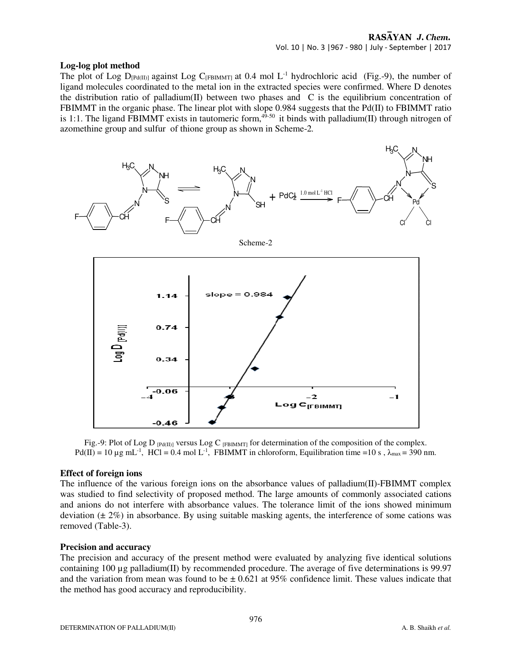#### **Log-log plot method**

The plot of Log  $D_{[Pd(II)]}$  against Log  $C_{[FBMMT]}$  at 0.4 mol L<sup>-1</sup> hydrochloric acid (Fig.-9), the number of ligand molecules coordinated to the metal ion in the extracted species were confirmed. Where D denotes the distribution ratio of palladium(II) between two phases and  $\,$  C is the equilibrium concentration of FBIMMT in the organic phase. The linear plot with slope 0.984 suggests that the Pd(II) to FBIMMT ratio is 1:1. The ligand FBIMMT exists in tautomeric form,  $49-50$  it binds with palladium(II) through nitrogen of azomethine group and sulfur of thione group as shown in Scheme-2*.* 



Scheme-2



Fig.-9: Plot of Log D  $_{[Pd(II)]}$  versus Log C  $_{[FBIMMT]}$  for determination of the composition of the complex.  $Pd(II) = 10 \mu g mL^{-1}$ , HCl = 0.4 mol L<sup>-1</sup>, FBIMMT in chloroform, Equilibration time =10 s,  $\lambda_{\text{max}} = 390 \text{ nm}$ .

#### **Effect of foreign ions**

The influence of the various foreign ions on the absorbance values of palladium $(II)$ -FBIMMT complex was studied to find selectivity of proposed method. The large amounts of commonly associated cations and anions do not interfere with absorbance values. The tolerance limit of the ions showed minimum deviation  $(\pm 2\%)$  in absorbance. By using suitable masking agents, the interference of some cations was removed (Table-3).

#### **Precision and accuracy**

The precision and accuracy of the present method were evaluated by analyzing five identical solutions containing 100 µg palladium(II) by recommended procedure. The average of five determinations is 99.97 and the variation from mean was found to be  $\pm$  0.621 at 95% confidence limit. These values indicate that the method has good accuracy and reproducibility.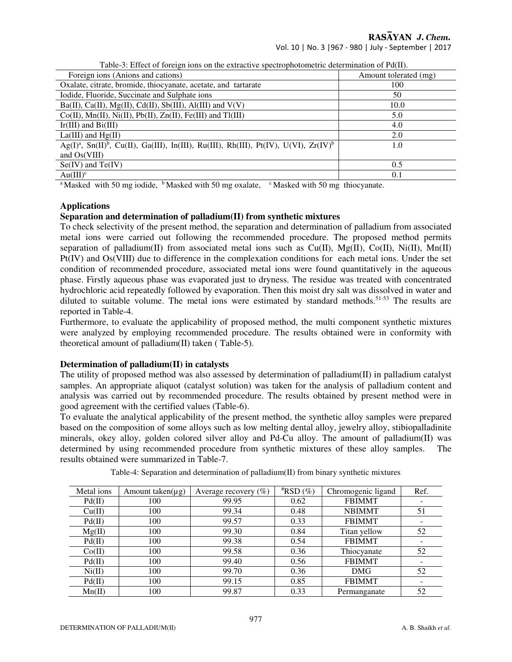RASAYAN J. Chem.

Vol. 10 | No. 3 |967 - 980 | July - September | 2017

| Twore 3: Entert of foreign fond on the extractive operatophotometric actermination of Future                              |                       |
|---------------------------------------------------------------------------------------------------------------------------|-----------------------|
| Foreign ions (Anions and cations)                                                                                         | Amount tolerated (mg) |
| Oxalate, citrate, bromide, thiocyanate, acetate, and tartarate                                                            | 100                   |
| Iodide, Fluoride, Succinate and Sulphate ions                                                                             | 50                    |
| Ba(II), Ca(II), Mg(II), Cd(II), Sb(III), Al(III) and $V(V)$                                                               | 10.0                  |
| $Co(II), Mn(II), Ni(II), Pb(II), Zn(II), Fe(III)$ and Tl(III)                                                             | 5.0                   |
| $Ir(III)$ and $Bi(III)$                                                                                                   | 4.0                   |
| $La(III)$ and $Hg(II)$                                                                                                    | 2.0                   |
| Ag(I) <sup>a</sup> , Sn(II) <sup>b</sup> , Cu(II), Ga(III), In(III), Ru(III), Rh(III), Pt(IV), U(VI), Zr(IV) <sup>b</sup> | 1.0                   |
| and $Os(VIII)$                                                                                                            |                       |
| $Se(IV)$ and $Te(IV)$                                                                                                     | 0.5                   |
| $Au(III)^c$                                                                                                               | 0.1                   |

Table-3: Effect of foreign ions on the extractive spectrophotometric determination of Pd(II).

<sup>a</sup>Masked with 50 mg iodide, <sup>b</sup>Masked with 50 mg oxalate, <sup>c</sup>Masked with 50 mg thiocyanate.

# **Applications**

## **Separation and determination of palladium(II) from synthetic mixtures**

To check selectivity of the present method, the separation and determination of palladium from associated metal ions were carried out following the recommended procedure. The proposed method permits separation of palladium(II) from associated metal ions such as  $Cu(II)$ ,  $Mg(II)$ ,  $Co(II)$ ,  $Ni(II)$ ,  $Mn(II)$ Pt(IV) and Os(VIII) due to difference in the complexation conditions for each metal ions. Under the set condition of recommended procedure, associated metal ions were found quantitatively in the aqueous phase. Firstly aqueous phase was evaporated just to dryness. The residue was treated with concentrated hydrochloric acid repeatedly followed by evaporation. Then this moist dry salt was dissolved in water and diluted to suitable volume. The metal ions were estimated by standard methods.<sup>51-53</sup> The results are reported in Table-4.

Furthermore, to evaluate the applicability of proposed method, the multi component synthetic mixtures were analyzed by employing recommended procedure. The results obtained were in conformity with theoretical amount of palladium(II) taken ( Table-5).

#### **Determination of palladium(II) in catalysts**

The utility of proposed method was also assessed by determination of palladium(II) in palladium catalyst samples. An appropriate aliquot (catalyst solution) was taken for the analysis of palladium content and analysis was carried out by recommended procedure. The results obtained by present method were in good agreement with the certified values (Table-6).

To evaluate the analytical applicability of the present method, the synthetic alloy samples were prepared based on the composition of some alloys such as low melting dental alloy, jewelry alloy, stibiopalladinite minerals, okey alloy, golden colored silver alloy and Pd-Cu alloy. The amount of palladium(II) was determined by using recommended procedure from synthetic mixtures of these alloy samples. The results obtained were summarized in Table-7.

| Metal ions | Amount taken( $\mu$ g) | Average recovery $(\%)$ | $*$ RSD $(\%)$ | Chromogenic ligand | Ref. |
|------------|------------------------|-------------------------|----------------|--------------------|------|
| Pd(II)     | 100                    | 99.95                   | 0.62           | <b>FBIMMT</b>      | -    |
| Cu(II)     | 100                    | 99.34                   | 0.48           | <b>NBIMMT</b>      | 51   |
| Pd(II)     | 100                    | 99.57                   | 0.33           | <b>FBIMMT</b>      |      |
| Mg(II)     | 100                    | 99.30                   | 0.84           | Titan yellow       | 52   |
| Pd(II)     | 100                    | 99.38                   | 0.54           | <b>FBIMMT</b>      | ۰    |
| Co(II)     | 100                    | 99.58                   | 0.36           | Thiocyanate        | 52   |
| Pd(II)     | 100                    | 99.40                   | 0.56           | <b>FBIMMT</b>      | -    |
| Ni(II)     | 100                    | 99.70                   | 0.36           | DMG                | 52   |
| Pd(II)     | 100                    | 99.15                   | 0.85           | <b>FBIMMT</b>      | ۰    |
| Mn(II)     | 100                    | 99.87                   | 0.33           | Permanganate       | 52   |

Table-4: Separation and determination of palladium(II) from binary synthetic mixtures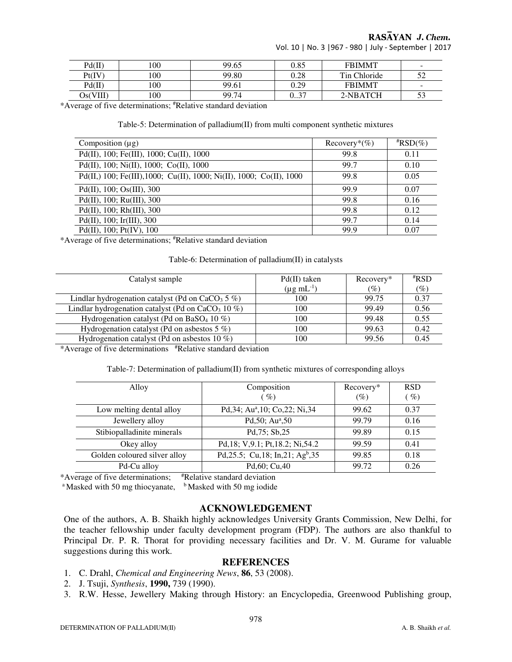RASAYAN J. Chem.

Vol. 10 | No. 3 |967 - 980 | July - September | 2017

| Pd(II)   | 100 | 99.65 | 0.85               | <b>FBIMMT</b> | $\overline{\phantom{0}}$ |
|----------|-----|-------|--------------------|---------------|--------------------------|
| Pt(IV)   | 100 | 99.80 | 0.28               | Tin Chloride  | ے ر                      |
| Pd(II)   | 100 | 99.61 | 0.29               | <b>FBIMMT</b> | $\sim$                   |
| Os(VIII) | 100 | 99.74 | - 37<br>v <i>.</i> | 2-NBATCH      | ت ب                      |

\*Average of five determinations; #Relative standard deviation

#### Table-5: Determination of palladium(II) from multi component synthetic mixtures

| Composition $(\mu g)$                                                | Recovery <sup>*</sup> $(\%)$ | $*RSD(\%)$ |
|----------------------------------------------------------------------|------------------------------|------------|
| Pd(II), 100; Fe(III), 1000; Cu(II), 1000                             | 99.8                         | 0.11       |
| Pd(II), 100; Ni(II), 1000; Co(II), 1000                              | 99.7                         | 0.10       |
| Pd(II,) 100; Fe(III), 1000; Cu(II), 1000; Ni(II), 1000; Co(II), 1000 | 99.8                         | 0.05       |
| Pd(II), 100; Os(III), 300                                            | 99.9                         | 0.07       |
| $Pd(II)$ , 100; Ru(III), 300                                         | 99.8                         | 0.16       |
| $Pd(II)$ , 100; Rh $(III)$ , 300                                     | 99.8                         | 0.12       |
| $Pd(II)$ , 100; Ir(III), 300                                         | 99.7                         | 0.14       |
| $Pd(II)$ , 100; $Pt(IV)$ , 100                                       | 99.9                         | 0.07       |

\*Average of five determinations; #Relative standard deviation

#### Table-6: Determination of palladium(II) in catalysts

| $Pd(II)$ taken            | Recovery* | $*$ RSD |
|---------------------------|-----------|---------|
| $(\mu g \text{ mL}^{-1})$ | (%)       | $(\%)$  |
| 100                       | 99.75     | 0.37    |
| 100                       | 99.49     | 0.56    |
| 100                       | 99.48     | 0.55    |
| 100                       | 99.63     | 0.42    |
| 100                       | 99.56     | 0.45    |
|                           |           |         |

\*Average of five determinations #Relative standard deviation

| Table-7: Determination of palladium(II) from synthetic mixtures of corresponding alloys |  |  |
|-----------------------------------------------------------------------------------------|--|--|
|                                                                                         |  |  |

| Alloy                        | Composition<br>$\mathscr{G}_o$               | Recovery*<br>(%) | <b>RSD</b><br>$\left(\sqrt[n]{a}\right)$ |
|------------------------------|----------------------------------------------|------------------|------------------------------------------|
| Low melting dental alloy     | Pd, 34; Au <sup>a</sup> , 10; Co, 22; Ni, 34 | 99.62            | 0.37                                     |
| Jewellery alloy              | Pd, $50$ ; Au <sup>a</sup> , $50$            | 99.79            | 0.16                                     |
| Stibiopalladinite minerals   | Pd, 75; Sb, 25                               | 99.89            | 0.15                                     |
| Okey alloy                   | Pd, 18; V, 9.1; Pt, 18.2; Ni, 54.2           | 99.59            | 0.41                                     |
| Golden coloured silver alloy | Pd, 25.5; Cu, 18; In, 21; Agb, 35            | 99.85            | 0.18                                     |
| Pd-Cu alloy                  | Pd, 60; Cu, 40                               | 99.72            | 0.26                                     |

\*Average of five determinations; #Relative standard deviation

<sup>a</sup> Masked with 50 mg thiocyanate,  $\frac{b}{b}$  Masked with 50 mg iodide

# **ACKNOWLEDGEMENT**

One of the authors, A. B. Shaikh highly acknowledges University Grants Commission, New Delhi, for the teacher fellowship under faculty development program (FDP). The authors are also thankful to Principal Dr. P. R. Thorat for providing necessary facilities and Dr. V. M. Gurame for valuable suggestions during this work.

#### **REFERENCES**

- 1. C. Drahl, *Chemical and Engineering News*, **86**, 53 (2008).
- 2. J. Tsuji, *Synthesis*, **1990,** 739 (1990).
- 3. R.W. Hesse, Jewellery Making through History: an Encyclopedia, Greenwood Publishing group,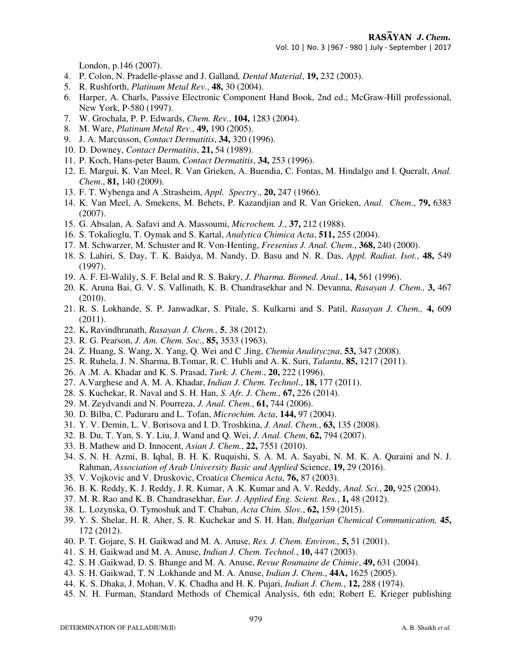Vol. 10 | No. 3 |967 - 980 | July - September | 2017

London, p.146 (2007).

- 4. P. Colon, N. Pradelle-plasse and J. Galland*, Dental Material*, **19,** 232 (2003).
- 5. R. Rushforth, *Platinum Metal Rev.*, **48,** 30 (2004).
- 6. Harper, A. Charls, Passive Electronic Component Hand Book, 2nd ed.; McGraw-Hill professional, New York, P-580 (1997).
- 7. W. Grochala, P. P. Edwards, *Chem. Rev.*, **104,** 1283 (2004).
- 8. M. Ware, *Platinum Metal Rev*., **49,** 190 (2005).
- 9. J. A. Marcusson, *Contact Dermatitis*, **34,** 320 (1996).
- 10. D. Downey, *Contact Dermatitis*, **21,** 54 (1989).
- 11. P. Koch, Hans-peter Baum, *Contact Dermatitis*, **34,** 253 (1996).
- 12. E. Margui, K. Van Meel, R. Van Grieken, A. Buendia, C. Fontas, M. Hindalgo and I. Queralt, *Anal. Chem*., **81,** 140 (2009).
- 13. F. T. Wybenga and A .Strasheim, *Appl. Spectr*y., **20,** 247 (1966).
- 14. K. Van Meel, A. Smekens, M. Behets, P. Kazandjian and R. Van Grieken, *Anal. Chem*., **79,** 6383 (2007).
- 15. G. Absalan, A. Safavi and A. Massoumi, *Microchem. J.*, **37,** 212 (1988).
- 16. S. Tokalioglu, T. Oymak and S. Kartal, *Analytica Chimica Acta*, **511,** 255 (2004).
- 17. M. Schwarzer, M. Schuster and R. Von-Henting, *Fresenius J. Anal. Chem*., **368,** 240 (2000).
- 18. S. Lahiri, S. Day, T. K. Baidya, M. Nandy, D. Basu and N. R. Das, *Appl. Radiat. Isot.*, **48,** 549 (1997).
- 19. A. F. El-Walily, S. F. Belal and R. S. Bakry, *J. Pharma. Biomed. Anal.*, **14,** 561 (1996).
- 20. K. Aruna Bai, G. V. S. Vallinath, K. B. Chandrasekhar and N. Devanna, *Rasayan J. Chem.,* **3,** 467 (2010).
- 21. R. S. Lokhande, S. P. Janwadkar, S. Pitale, S. Kulkarni and S. Patil, *Rasayan J. Chem.,* **4,** 609 (2011).
- 22. K**.** Ravindhranath, *Rasayan J. Chem.,* **5**, 38 (2012).
- 23. R. G. Pearson, *J. Am. Chem. Soc.*, **85,** 3533 (1963).
- 24. Z. Huang, S. Wang, X. Yang, Q. Wei and C .Jing, *Chemia Analityczna*, **53,** 347 (2008).
- 25. R. Ruhela, J. N. Sharma, B.Tomar, R. C. Hubli and A. K. Suri, *Talanta*, **85,** 1217 (2011).
- 26. A .M. A. Khadar and K. S. Prasad, *Turk. J. Chem*., **20,** 222 (1996).
- 27. A.Varghese and A. M. A. Khadar, *Indian J. Chem. Technol*., **18,** 177 (2011).
- 28. S. Kuchekar, R. Naval and S. H. Han, *S. Afr. J. Chem.,* **67,** 226 (2014).
- 29. M. Zeydvandi and N. Pourreza, *J. Anal. Chem.*, **61,** 744 (2006).
- 30. D. Bilba, C. Paduraru and L. Tofan, *Microchim. Acta*, **144,** 97 (2004).
- 31. Y. V. Demin, L. V. Borisova and I. D. Troshkina, *J. Anal. Chem.*, **63,** 135 (2008).
- 32. B. Du, T. Yan, S. Y. Liu, J. Wand and Q. Wei, *J. Anal. Chem*, **62,** 794 (2007).
- 33. B. Mathew and D. Innocent, *Asian J. Chem.*, **22,** 7551 (2010).
- 34. S. N. H. Azmi, B. Iqbal, B. H. K. Ruquishi, S. A. M. A. Sayabi, N. M. K. A. Quraini and N. J. Rahman, *Association of Arab University Basic and Applied* Science, **19,** 29 (2016).
- 35. V. Vojkovic and V. Druskovic, Croat*ica Chemica Acta*, **76,** 87 (2003).
- 36. B. K. Reddy, K. J. Reddy, J. R. Kumar, A .K. Kumar and A. V. Reddy, *Anal. Sci.*, **20,** 925 (2004).
- 37. M. R. Rao and K. B. Chandrasekhar, *Eur. J. Applied Eng. Scient. Res.*, **1,** 48 (2012).
- 38. L. Lozynska, O. Tymoshuk and T. Chaban, *Acta Chim. Slov.*, **62,** 159 (2015).
- 39. Y. S. Shelar, H. R. Aher, S. R. Kuchekar and S. H. Han, *Bulgarian Chemical Communication,* **45,** 172 (2012).
- 40. P. T. Gojare, S. H. Gaikwad and M. A. Anuse, *Res. J. Chem. Environ.,* **5,** 51 (2001).
- 41. S. H. Gaikwad and M. A. Anuse, *Indian J. Chem. Technol.*, **10,** 447 (2003).
- 42. S. H .Gaikwad, D. S. Bhange and M. A. Anuse, *Revue Roumaine de Chimie*, **49,** 631 (2004).
- 43. S. H. Gaikwad, T. N .Lokhande and M. A. Anuse, *Indian J. Chem.*, **44A,** 1625 (2005).
- 44. K. S. Dhaka, J. Mohan, V. K. Chadha and H. K. Pujari, *Indian J. Chem.*, **12,** 288 (1974).
- 45. N. H. Furman, Standard Methods of Chemical Analysis, 6th edn; Robert E. Krieger publishing